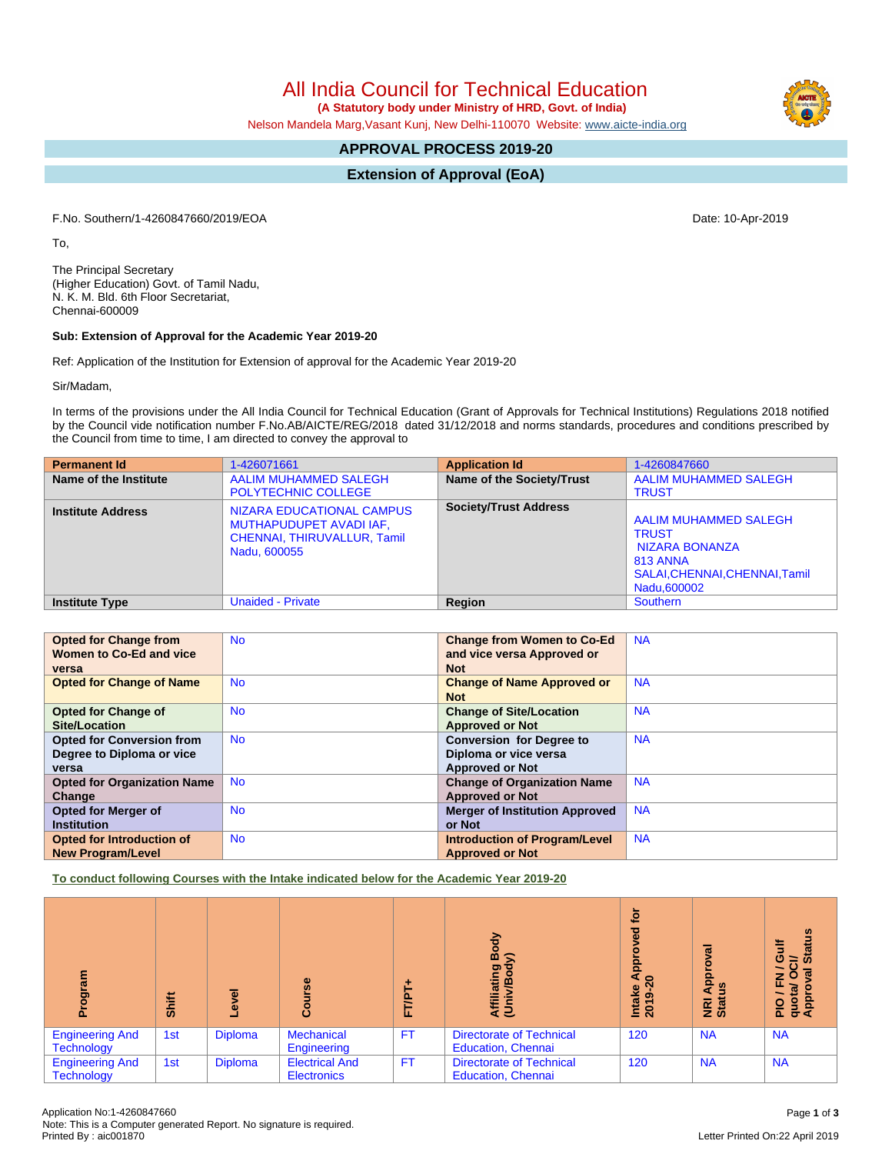All India Council for Technical Education

 **(A Statutory body under Ministry of HRD, Govt. of India)**

Nelson Mandela Marg,Vasant Kunj, New Delhi-110070 Website: [www.aicte-india.org](http://www.aicte-india.org)

# **APPROVAL PROCESS 2019-20**

**Extension of Approval (EoA)**

F.No. Southern/1-4260847660/2019/EOA Date: 10-Apr-2019

To,

The Principal Secretary (Higher Education) Govt. of Tamil Nadu, N. K. M. Bld. 6th Floor Secretariat, Chennai-600009

## **Sub: Extension of Approval for the Academic Year 2019-20**

Ref: Application of the Institution for Extension of approval for the Academic Year 2019-20

Sir/Madam,

In terms of the provisions under the All India Council for Technical Education (Grant of Approvals for Technical Institutions) Regulations 2018 notified by the Council vide notification number F.No.AB/AICTE/REG/2018 dated 31/12/2018 and norms standards, procedures and conditions prescribed by the Council from time to time, I am directed to convey the approval to

| <b>Permanent Id</b>      | 1-426071661                                                                                         | <b>Application Id</b>        | 1-4260847660                                                                                                         |
|--------------------------|-----------------------------------------------------------------------------------------------------|------------------------------|----------------------------------------------------------------------------------------------------------------------|
| Name of the Institute    | <b>AALIM MUHAMMED SALEGH</b><br><b>POLYTECHNIC COLLEGE</b>                                          | Name of the Society/Trust    | AALIM MUHAMMED SALEGH<br><b>TRUST</b>                                                                                |
| <b>Institute Address</b> | NIZARA EDUCATIONAL CAMPUS<br>MUTHAPUDUPET AVADI IAF,<br>CHENNAI, THIRUVALLUR, Tamil<br>Nadu, 600055 | <b>Society/Trust Address</b> | AALIM MUHAMMED SALEGH<br><b>TRUST</b><br>NIZARA BONANZA<br>813 ANNA<br>SALAI, CHENNAI, CHENNAI, Tamil<br>Nadu,600002 |
| <b>Institute Type</b>    | <b>Unaided - Private</b>                                                                            | Region                       | <b>Southern</b>                                                                                                      |

| <b>Opted for Change from</b>       | <b>No</b> | <b>Change from Women to Co-Ed</b>     | <b>NA</b> |
|------------------------------------|-----------|---------------------------------------|-----------|
| Women to Co-Ed and vice            |           | and vice versa Approved or            |           |
| versa                              |           | <b>Not</b>                            |           |
| <b>Opted for Change of Name</b>    | <b>No</b> | <b>Change of Name Approved or</b>     | <b>NA</b> |
|                                    |           | <b>Not</b>                            |           |
| <b>Opted for Change of</b>         | <b>No</b> | <b>Change of Site/Location</b>        | <b>NA</b> |
| <b>Site/Location</b>               |           | <b>Approved or Not</b>                |           |
| <b>Opted for Conversion from</b>   | <b>No</b> | <b>Conversion for Degree to</b>       | <b>NA</b> |
| Degree to Diploma or vice          |           | Diploma or vice versa                 |           |
| versa                              |           | <b>Approved or Not</b>                |           |
| <b>Opted for Organization Name</b> | <b>No</b> | <b>Change of Organization Name</b>    | <b>NA</b> |
| Change                             |           | <b>Approved or Not</b>                |           |
| <b>Opted for Merger of</b>         | <b>No</b> | <b>Merger of Institution Approved</b> | <b>NA</b> |
| <b>Institution</b>                 |           | or Not                                |           |
| Opted for Introduction of          | <b>No</b> | <b>Introduction of Program/Level</b>  | <b>NA</b> |
| <b>New Program/Level</b>           |           | <b>Approved or Not</b>                |           |

**To conduct following Courses with the Intake indicated below for the Academic Year 2019-20**

| తై<br>ā                                     | Shift | g<br>ڡ         | rse<br><b>Cour</b>                          | <b>FT/P</b> | 융<br>m<br>Affiliating<br>(Univ/Bod <sup>,</sup>              | <u>io</u><br>ॆ<br><b>App</b><br>$\circ$<br>Intake<br>2019-20 | ζā<br>ō<br>Appl<br>$\frac{5}{2}$<br><b>Ri</b><br>Stat | <b>Status</b><br>O<br>ಕ<br>π<br>$\circ$<br>z<br>Œ.<br>quota/<br>Approv<br><u>o</u> |
|---------------------------------------------|-------|----------------|---------------------------------------------|-------------|--------------------------------------------------------------|--------------------------------------------------------------|-------------------------------------------------------|------------------------------------------------------------------------------------|
| <b>Engineering And</b><br><b>Technology</b> | 1st   | <b>Diploma</b> | <b>Mechanical</b><br>Engineering            | <b>FT</b>   | <b>Directorate of Technical</b><br><b>Education, Chennai</b> | 120                                                          | <b>NA</b>                                             | <b>NA</b>                                                                          |
| <b>Engineering And</b><br><b>Technology</b> | 1st   | <b>Diploma</b> | <b>Electrical And</b><br><b>Electronics</b> | <b>FT</b>   | <b>Directorate of Technical</b><br><b>Education, Chennai</b> | 120                                                          | <b>NA</b>                                             | <b>NA</b>                                                                          |



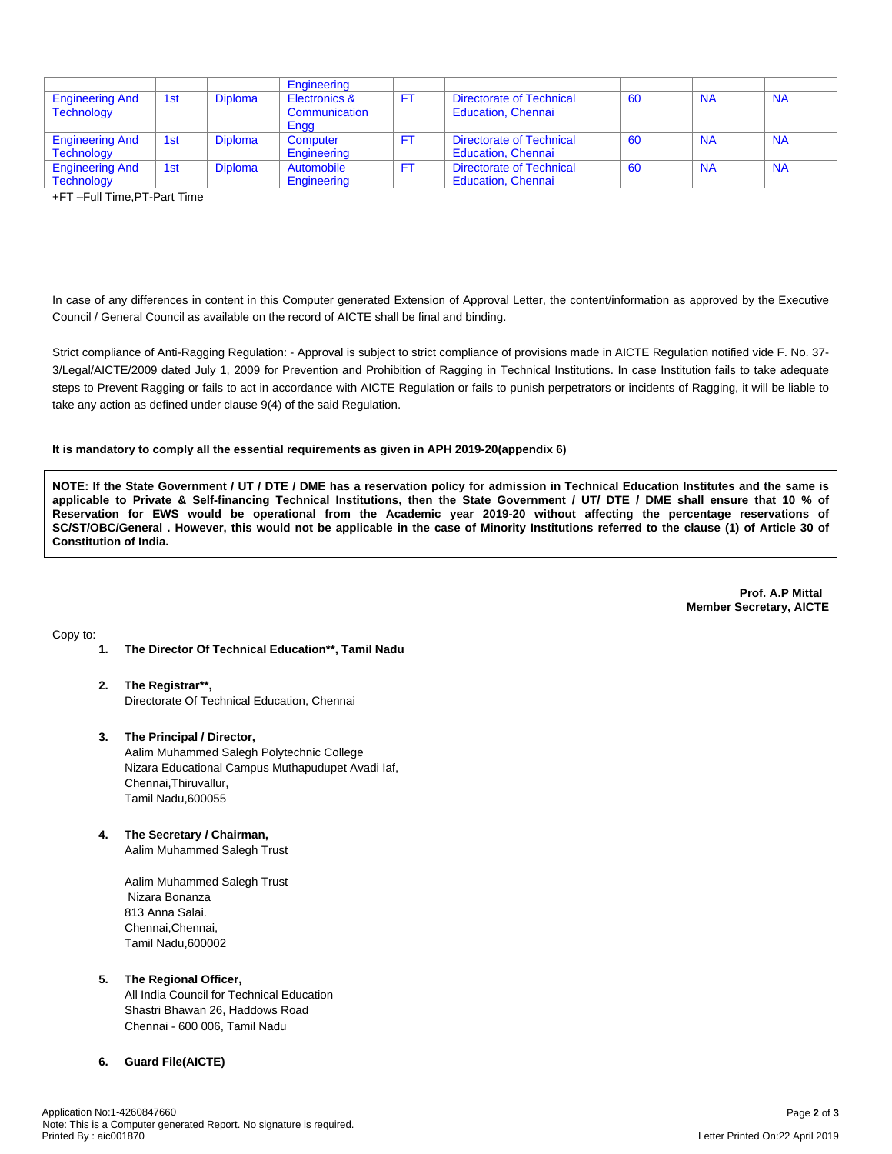|                                             |     |                | Engineering                    |     |                                                       |    |           |           |
|---------------------------------------------|-----|----------------|--------------------------------|-----|-------------------------------------------------------|----|-----------|-----------|
| <b>Engineering And</b><br><b>Technology</b> | 1st | <b>Diploma</b> | Electronics &<br>Communication | FT. | Directorate of Technical<br><b>Education, Chennai</b> | 60 | <b>NA</b> | <b>NA</b> |
|                                             |     |                | Engg                           |     |                                                       |    |           |           |
| <b>Engineering And</b>                      | 1st | <b>Diploma</b> | Computer                       | FT. | Directorate of Technical                              | 60 | <b>NA</b> | <b>NA</b> |
| <b>Technology</b>                           |     |                | Engineering                    |     | <b>Education, Chennai</b>                             |    |           |           |
| <b>Engineering And</b>                      | 1st | <b>Diploma</b> | Automobile                     | FT. | Directorate of Technical                              | 60 | <b>NA</b> | <b>NA</b> |
| <b>Technology</b>                           |     |                | Engineering                    |     | <b>Education, Chennai</b>                             |    |           |           |

+FT –Full Time,PT-Part Time

In case of any differences in content in this Computer generated Extension of Approval Letter, the content/information as approved by the Executive Council / General Council as available on the record of AICTE shall be final and binding.

Strict compliance of Anti-Ragging Regulation: - Approval is subject to strict compliance of provisions made in AICTE Regulation notified vide F. No. 37- 3/Legal/AICTE/2009 dated July 1, 2009 for Prevention and Prohibition of Ragging in Technical Institutions. In case Institution fails to take adequate steps to Prevent Ragging or fails to act in accordance with AICTE Regulation or fails to punish perpetrators or incidents of Ragging, it will be liable to take any action as defined under clause 9(4) of the said Regulation.

#### **It is mandatory to comply all the essential requirements as given in APH 2019-20(appendix 6)**

NOTE: If the State Government / UT / DTE / DME has a reservation policy for admission in Technical Education Institutes and the same is applicable to Private & Self-financing Technical Institutions, then the State Government / UT/ DTE / DME shall ensure that 10 % of Reservation for EWS would be operational from the Academic year 2019-20 without affecting the percentage reservations of SC/ST/OBC/General . However, this would not be applicable in the case of Minority Institutions referred to the clause (1) of Article 30 of **Constitution of India.**

> **Prof. A.P Mittal Member Secretary, AICTE**

Copy to:

- **1. The Director Of Technical Education\*\*, Tamil Nadu**
- **2. The Registrar\*\*,** Directorate Of Technical Education, Chennai
- **3. The Principal / Director,** Aalim Muhammed Salegh Polytechnic College Nizara Educational Campus Muthapudupet Avadi Iaf, Chennai,Thiruvallur, Tamil Nadu,600055
- **4. The Secretary / Chairman,** Aalim Muhammed Salegh Trust

Aalim Muhammed Salegh Trust Nizara Bonanza 813 Anna Salai. Chennai,Chennai, Tamil Nadu,600002

## **5. The Regional Officer,**

All India Council for Technical Education Shastri Bhawan 26, Haddows Road Chennai - 600 006, Tamil Nadu

## **6. Guard File(AICTE)**